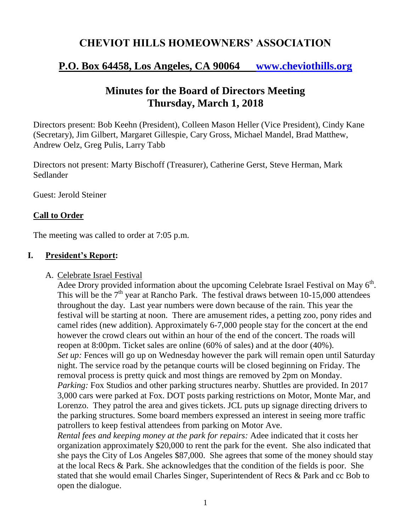## **CHEVIOT HILLS HOMEOWNERS' ASSOCIATION**

# **P.O. Box 64458, Los Angeles, CA 90064 [www.cheviothills.org](http://www.cheviothills.org/)**

# **Minutes for the Board of Directors Meeting Thursday, March 1, 2018**

Directors present: Bob Keehn (President), Colleen Mason Heller (Vice President), Cindy Kane (Secretary), Jim Gilbert, Margaret Gillespie, Cary Gross, Michael Mandel, Brad Matthew, Andrew Oelz, Greg Pulis, Larry Tabb

Directors not present: Marty Bischoff (Treasurer), Catherine Gerst, Steve Herman, Mark Sedlander

Guest: Jerold Steiner

## **Call to Order**

The meeting was called to order at 7:05 p.m.

## **I. President's Report:**

#### A. Celebrate Israel Festival

Adee Drory provided information about the upcoming Celebrate Israel Festival on May  $6<sup>th</sup>$ . This will be the  $7<sup>th</sup>$  year at Rancho Park. The festival draws between 10-15,000 attendees throughout the day. Last year numbers were down because of the rain. This year the festival will be starting at noon. There are amusement rides, a petting zoo, pony rides and camel rides (new addition). Approximately 6-7,000 people stay for the concert at the end however the crowd clears out within an hour of the end of the concert. The roads will reopen at 8:00pm. Ticket sales are online (60% of sales) and at the door (40%). *Set up:* Fences will go up on Wednesday however the park will remain open until Saturday night. The service road by the petanque courts will be closed beginning on Friday. The removal process is pretty quick and most things are removed by 2pm on Monday. *Parking:* Fox Studios and other parking structures nearby. Shuttles are provided. In 2017 3,000 cars were parked at Fox. DOT posts parking restrictions on Motor, Monte Mar, and Lorenzo. They patrol the area and gives tickets. JCL puts up signage directing drivers to the parking structures. Some board members expressed an interest in seeing more traffic patrollers to keep festival attendees from parking on Motor Ave.

*Rental fees and keeping money at the park for repairs:* Adee indicated that it costs her organization approximately \$20,000 to rent the park for the event. She also indicated that she pays the City of Los Angeles \$87,000. She agrees that some of the money should stay at the local Recs & Park. She acknowledges that the condition of the fields is poor. She stated that she would email Charles Singer, Superintendent of Recs & Park and cc Bob to open the dialogue.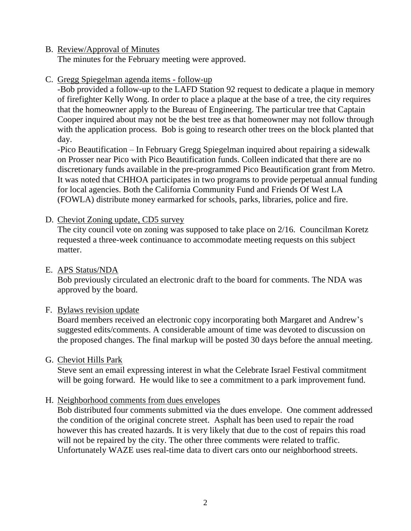### B. Review/Approval of Minutes

The minutes for the February meeting were approved.

### C. Gregg Spiegelman agenda items - follow-up

-Bob provided a follow-up to the LAFD Station 92 request to dedicate a plaque in memory of firefighter Kelly Wong. In order to place a plaque at the base of a tree, the city requires that the homeowner apply to the Bureau of Engineering. The particular tree that Captain Cooper inquired about may not be the best tree as that homeowner may not follow through with the application process. Bob is going to research other trees on the block planted that day.

-Pico Beautification – In February Gregg Spiegelman inquired about repairing a sidewalk on Prosser near Pico with Pico Beautification funds. Colleen indicated that there are no discretionary funds available in the pre-programmed Pico Beautification grant from Metro. It was noted that CHHOA participates in two programs to provide perpetual annual funding for local agencies. Both the California Community Fund and Friends Of West LA (FOWLA) distribute money earmarked for schools, parks, libraries, police and fire.

#### D. Cheviot Zoning update, CD5 survey

The city council vote on zoning was supposed to take place on 2/16. Councilman Koretz requested a three-week continuance to accommodate meeting requests on this subject matter.

#### E. APS Status/NDA

Bob previously circulated an electronic draft to the board for comments. The NDA was approved by the board.

## F. Bylaws revision update

Board members received an electronic copy incorporating both Margaret and Andrew's suggested edits/comments. A considerable amount of time was devoted to discussion on the proposed changes. The final markup will be posted 30 days before the annual meeting.

#### G. Cheviot Hills Park

Steve sent an email expressing interest in what the Celebrate Israel Festival commitment will be going forward. He would like to see a commitment to a park improvement fund.

## H. Neighborhood comments from dues envelopes

Bob distributed four comments submitted via the dues envelope. One comment addressed the condition of the original concrete street. Asphalt has been used to repair the road however this has created hazards. It is very likely that due to the cost of repairs this road will not be repaired by the city. The other three comments were related to traffic. Unfortunately WAZE uses real-time data to divert cars onto our neighborhood streets.